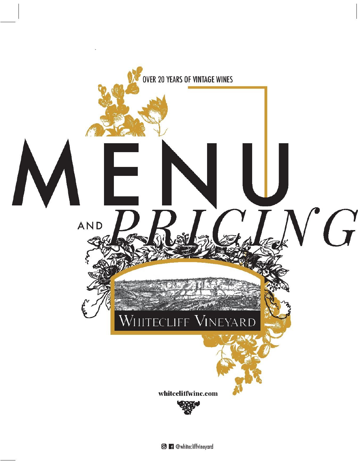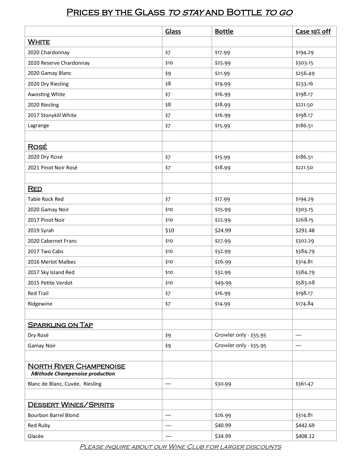## PRICES BY THE GLASS TO STAY AND BOTTLE TO GO

|                                                                  | Glass | <b>Bottle</b>          | Case 10% off |
|------------------------------------------------------------------|-------|------------------------|--------------|
| <b>WHITE</b>                                                     |       |                        |              |
| 2020 Chardonnay                                                  | \$7   | \$17.99                | \$194.29     |
| 2020 Reserve Chardonnay                                          | \$10  | \$25.99                | \$303.15     |
| 2020 Gamay Blanc                                                 | \$9   | \$21.99                | \$256.49     |
| 2020 Dry Riesling                                                | \$8   | \$19.99                | \$233.16     |
| Awosting White                                                   | \$7   | \$16.99                | \$198.17     |
| 2020 Riesling                                                    | \$8   | \$18.99                | \$221.50     |
| 2017 Stonykill White                                             | \$7   | \$16.99                | \$198.17     |
| Lagrange                                                         | \$7   | \$15.99                | \$186.51     |
|                                                                  |       |                        |              |
| <u>Rosé</u>                                                      |       |                        |              |
| 2020 Dry Rosé                                                    | \$7   | \$15.99                | \$186.51     |
| 2021 Pinot Noir Rosé                                             | \$7   | \$18.99                | \$221.50     |
|                                                                  |       |                        |              |
| <b>RED</b>                                                       |       |                        |              |
| Table Rock Red                                                   | $$7$  | \$17.99                | \$194.29     |
| 2020 Gamay Noir                                                  | \$10  | \$25.99                | \$303.15     |
| 2017 Pinot Noir                                                  | \$10  | \$22.99                | \$268.15     |
| 2019 Syrah                                                       | \$10  | \$24.99                | \$291.48     |
| 2020 Cabernet Franc                                              | \$10  | \$27.99                | \$302.29     |
| 2017 Two Cabs                                                    | \$10  | \$32.99                | \$384.79     |
| 2016 Merlot Malbec                                               | \$10  | \$26.99                | \$314.81     |
| 2017 Sky Island Red                                              | \$10  | \$32.99                | \$384.79     |
| 2015 Petite Verdot                                               | \$10  | \$49.99                | \$583.08     |
| <b>Red Trail</b>                                                 | \$7   | \$16.99                | \$198.17     |
| Ridgewine                                                        | \$7   | \$14.99                | \$174.84     |
|                                                                  |       |                        |              |
| <b>SPARKLING ON TAP</b>                                          |       |                        |              |
| Dry Rosé                                                         | \$9   | Growler only - \$35.95 |              |
| Gamay Noir                                                       | \$9   | Growler only - \$35.95 |              |
|                                                                  |       |                        |              |
| <b>NORTH RIVER CHAMPENOISE</b><br>Méthode Champenoise production |       |                        |              |
| Blanc de Blanc, Cuvée, Riesling                                  |       | \$30.99                | \$361.47     |
| <b>DESSERT WINES/SPIRITS</b>                                     |       |                        |              |
| <b>Bourbon Barrel Blond</b>                                      |       | \$26.99                | \$314.81     |
| Red Ruby                                                         |       | \$40.99                | \$442.69     |
| Glacée                                                           | ---   | \$34.99                | \$408.12     |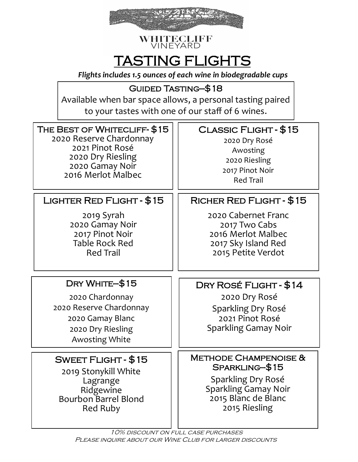

#### **WHITECLIFF** VINEYARD

# TASTING FLIGHTS

*Flights includes 1.5 ounces of each wine in biodegradable cups*

# Guided Tasting—\$18

Available when bar space allows, a personal tasting paired to your tastes with one of our staff of 6 wines.

| THE BEST OF WHITECLIFF-\$15                                                                                                    | CLASSIC FLIGHT - \$15                                                                                                                                                           |
|--------------------------------------------------------------------------------------------------------------------------------|---------------------------------------------------------------------------------------------------------------------------------------------------------------------------------|
| 2020 Reserve Chardonnay                                                                                                        | 2020 Dry Rosé                                                                                                                                                                   |
| 2021 Pinot Rosé                                                                                                                | Awosting                                                                                                                                                                        |
| 2020 Dry Riesling                                                                                                              | 2020 Riesling                                                                                                                                                                   |
| 2020 Gamay Noir                                                                                                                | 2017 Pinot Noir                                                                                                                                                                 |
| 2016 Merlot Malbec                                                                                                             | <b>Red Trail</b>                                                                                                                                                                |
| LIGHTER RED FLIGHT - \$15                                                                                                      | RICHER RED FLIGHT - \$15                                                                                                                                                        |
| 2019 Syrah                                                                                                                     | 2020 Cabernet Franc                                                                                                                                                             |
| 2020 Gamay Noir                                                                                                                | 2017 Two Cabs                                                                                                                                                                   |
| 2017 Pinot Noir                                                                                                                | 2016 Merlot Malbec                                                                                                                                                              |
| <b>Table Rock Red</b>                                                                                                          | 2017 Sky Island Red                                                                                                                                                             |
| <b>Red Trail</b>                                                                                                               | 2015 Petite Verdot                                                                                                                                                              |
| DRY WHITE-\$15<br>2020 Chardonnay<br>2020 Reserve Chardonnay<br>2020 Gamay Blanc<br>2020 Dry Riesling<br><b>Awosting White</b> | DRY ROSÉ FLIGHT - \$14<br>2020 Dry Rosé<br>Sparkling Dry Rosé<br>2021 Pinot Rosé<br><b>Sparkling Gamay Noir</b>                                                                 |
| SWEET FLIGHT - \$15<br>2019 Stonykill White<br>Lagrange<br>Ridgewine<br><b>Bourbon Barrel Blond</b><br>Red Ruby                | <b>METHODE CHAMPENOISE &amp;</b><br>SPARKLING-\$15<br>Sparkling Dry Rosé<br>Sparkling Gamay Noir<br>2015 Blanc de Blanc<br>2015 Riesling<br>10% DISCOUNT ON FULL CASE PURCHASES |

PLEASE INQUIRE ABOUT OUR WINE CLUB FOR LARGER DISCOUNTS